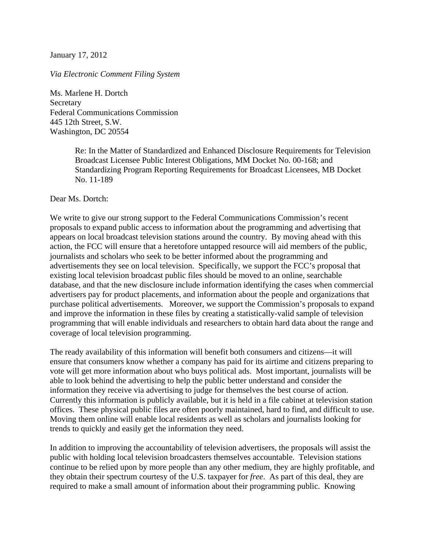January 17, 2012

## *Via Electronic Comment Filing System*

Ms. Marlene H. Dortch Secretary Federal Communications Commission 445 12th Street, S.W. Washington, DC 20554

> Re: In the Matter of Standardized and Enhanced Disclosure Requirements for Television Broadcast Licensee Public Interest Obligations, MM Docket No. 00-168; and Standardizing Program Reporting Requirements for Broadcast Licensees, MB Docket No. 11-189

Dear Ms. Dortch:

We write to give our strong support to the Federal Communications Commission's recent proposals to expand public access to information about the programming and advertising that appears on local broadcast television stations around the country. By moving ahead with this action, the FCC will ensure that a heretofore untapped resource will aid members of the public, journalists and scholars who seek to be better informed about the programming and advertisements they see on local television. Specifically, we support the FCC's proposal that existing local television broadcast public files should be moved to an online, searchable database, and that the new disclosure include information identifying the cases when commercial advertisers pay for product placements, and information about the people and organizations that purchase political advertisements. Moreover, we support the Commission's proposals to expand and improve the information in these files by creating a statistically-valid sample of television programming that will enable individuals and researchers to obtain hard data about the range and coverage of local television programming.

The ready availability of this information will benefit both consumers and citizens—it will ensure that consumers know whether a company has paid for its airtime and citizens preparing to vote will get more information about who buys political ads. Most important, journalists will be able to look behind the advertising to help the public better understand and consider the information they receive via advertising to judge for themselves the best course of action. Currently this information is publicly available, but it is held in a file cabinet at television station offices. These physical public files are often poorly maintained, hard to find, and difficult to use. Moving them online will enable local residents as well as scholars and journalists looking for trends to quickly and easily get the information they need.

In addition to improving the accountability of television advertisers, the proposals will assist the public with holding local television broadcasters themselves accountable. Television stations continue to be relied upon by more people than any other medium, they are highly profitable, and they obtain their spectrum courtesy of the U.S. taxpayer for *free*. As part of this deal, they are required to make a small amount of information about their programming public. Knowing